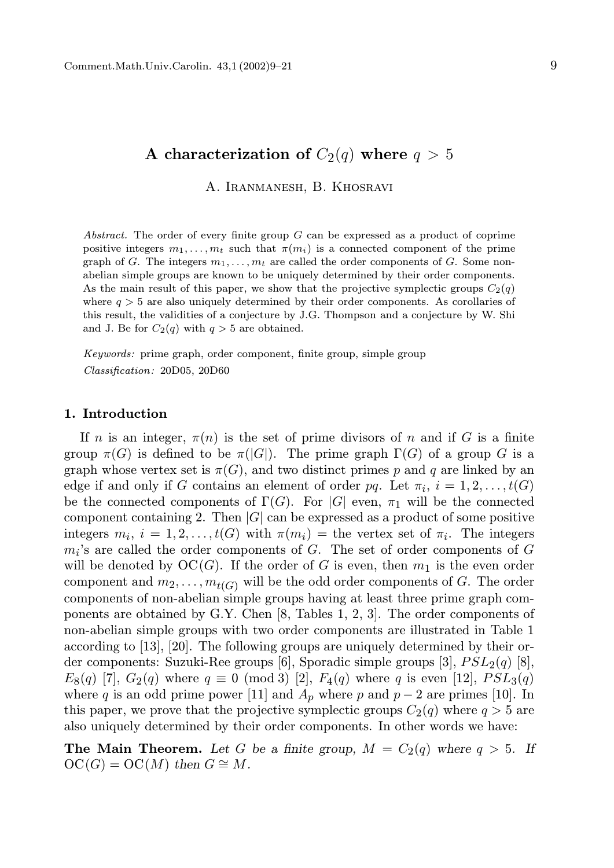# A characterization of  $C_2(q)$  where  $q > 5$

A. Iranmanesh, B. Khosravi

Abstract. The order of every finite group  $G$  can be expressed as a product of coprime positive integers  $m_1, \ldots, m_t$  such that  $\pi(m_i)$  is a connected component of the prime graph of G. The integers  $m_1, \ldots, m_t$  are called the order components of G. Some nonabelian simple groups are known to be uniquely determined by their order components. As the main result of this paper, we show that the projective symplectic groups  $C_2(q)$ where  $q > 5$  are also uniquely determined by their order components. As corollaries of this result, the validities of a conjecture by J.G. Thompson and a conjecture by W. Shi and J. Be for  $C_2(q)$  with  $q > 5$  are obtained.

Keywords: prime graph, order component, finite group, simple group Classification: 20D05, 20D60

## 1. Introduction

If n is an integer,  $\pi(n)$  is the set of prime divisors of n and if G is a finite group  $\pi(G)$  is defined to be  $\pi(|G|)$ . The prime graph  $\Gamma(G)$  of a group G is a graph whose vertex set is  $\pi(G)$ , and two distinct primes p and q are linked by an edge if and only if G contains an element of order pq. Let  $\pi_i$ ,  $i = 1, 2, \ldots, t(G)$ be the connected components of  $\Gamma(G)$ . For |G| even,  $\pi_1$  will be the connected component containing 2. Then  $|G|$  can be expressed as a product of some positive integers  $m_i$ ,  $i = 1, 2, ..., t(G)$  with  $\pi(m_i) =$  the vertex set of  $\pi_i$ . The integers  $m_i$ 's are called the order components of  $G$ . The set of order components of  $G$ will be denoted by  $OC(G)$ . If the order of G is even, then  $m_1$  is the even order component and  $m_2, \ldots, m_{t(G)}$  will be the odd order components of G. The order components of non-abelian simple groups having at least three prime graph components are obtained by G.Y. Chen [8, Tables 1, 2, 3]. The order components of non-abelian simple groups with two order components are illustrated in Table 1 according to [13], [20]. The following groups are uniquely determined by their order components: Suzuki-Ree groups [6], Sporadic simple groups [3],  $PSL<sub>2</sub>(q)$  [8],  $E_8(q)$  [7],  $G_2(q)$  where  $q \equiv 0 \pmod{3}$  [2],  $F_4(q)$  where q is even [12],  $PSL_3(q)$ where q is an odd prime power [11] and  $A_p$  where p and  $p-2$  are primes [10]. In this paper, we prove that the projective symplectic groups  $C_2(q)$  where  $q > 5$  are also uniquely determined by their order components. In other words we have:

**The Main Theorem.** Let G be a finite group,  $M = C_2(q)$  where  $q > 5$ . If  $OC(G) = OC(M)$  then  $G \cong M$ .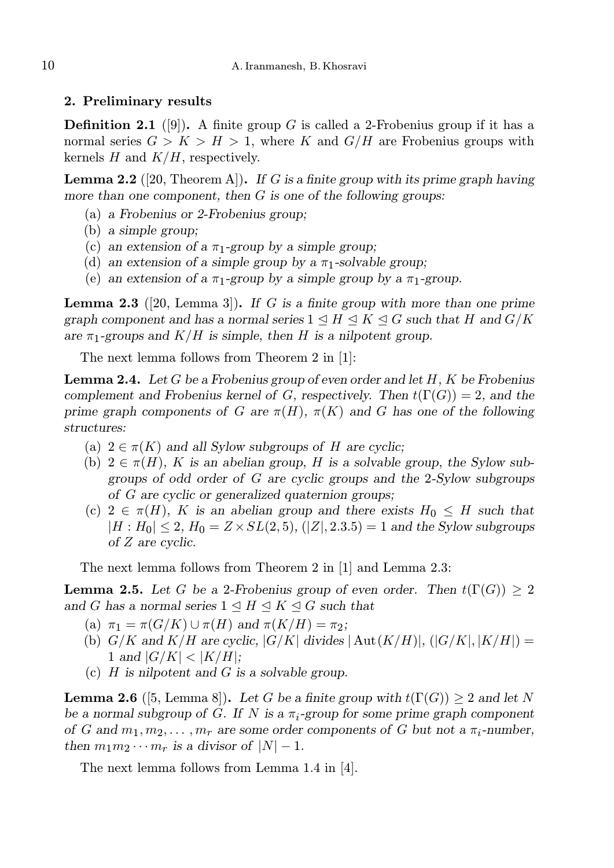## 2. Preliminary results

**Definition 2.1** ([9]). A finite group G is called a 2-Frobenius group if it has a normal series  $G > K > H > 1$ , where K and  $G/H$  are Frobenius groups with kernels  $H$  and  $K/H$ , respectively.

**Lemma 2.2** ([20, Theorem A]). If G is a finite group with its prime graph having more than one component, then  $G$  is one of the following groups:

- (a) a Frobenius or 2-Frobenius group;
- (b) a simple group;
- (c) an extension of a  $\pi_1$ -group by a simple group;
- (d) an extension of a simple group by a  $\pi_1$ -solvable group;
- (e) an extension of a  $\pi_1$ -group by a simple group by a  $\pi_1$ -group.

**Lemma 2.3** ([20, Lemma 3]). If G is a finite group with more than one prime graph component and has a normal series  $1 \leq H \leq K \leq G$  such that H and  $G/K$ are  $\pi_1$ -groups and  $K/H$  is simple, then H is a nilpotent group.

The next lemma follows from Theorem 2 in [1]:

**Lemma 2.4.** Let G be a Frobenius group of even order and let  $H$ ,  $K$  be Frobenius complement and Frobenius kernel of G, respectively. Then  $t(\Gamma(G)) = 2$ , and the prime graph components of G are  $\pi(H)$ ,  $\pi(K)$  and G has one of the following structures:

- (a)  $2 \in \pi(K)$  and all Sylow subgroups of H are cyclic;
- (b)  $2 \in \pi(H)$ , K is an abelian group, H is a solvable group, the Sylow subgroups of odd order of G are cyclic groups and the 2-Sylow subgroups of G are cyclic or generalized quaternion groups;
- (c)  $2 \in \pi(H)$ , K is an abelian group and there exists  $H_0 \leq H$  such that  $|H : H_0| \leq 2$ ,  $H_0 = Z \times SL(2, 5)$ ,  $(|Z|, 2.3.5) = 1$  and the Sylow subgroups of Z are cyclic.

The next lemma follows from Theorem 2 in [1] and Lemma 2.3:

**Lemma 2.5.** Let G be a 2-Frobenius group of even order. Then  $t(\Gamma(G)) \geq 2$ and G has a normal series  $1 \leq H \leq K \leq G$  such that

- (a)  $\pi_1 = \pi(G/K) \cup \pi(H)$  and  $\pi(K/H) = \pi_2$ ;
- (b)  $G/K$  and  $K/H$  are cyclic,  $|G/K|$  divides  $|\text{Aut}(K/H)|$ ,  $(|G/K|, |K/H|)$  = 1 and  $|G/K| < |K/H|$ ;
- (c)  $H$  is nilpotent and  $G$  is a solvable group.

**Lemma 2.6** ([5, Lemma 8]). Let G be a finite group with  $t(\Gamma(G)) \geq 2$  and let N be a normal subgroup of G. If N is a  $\pi_i$ -group for some prime graph component of G and  $m_1, m_2, \ldots, m_r$  are some order components of G but not a  $\pi_i$ -number, then  $m_1m_2\cdots m_r$  is a divisor of  $|N|-1$ .

The next lemma follows from Lemma 1.4 in [4].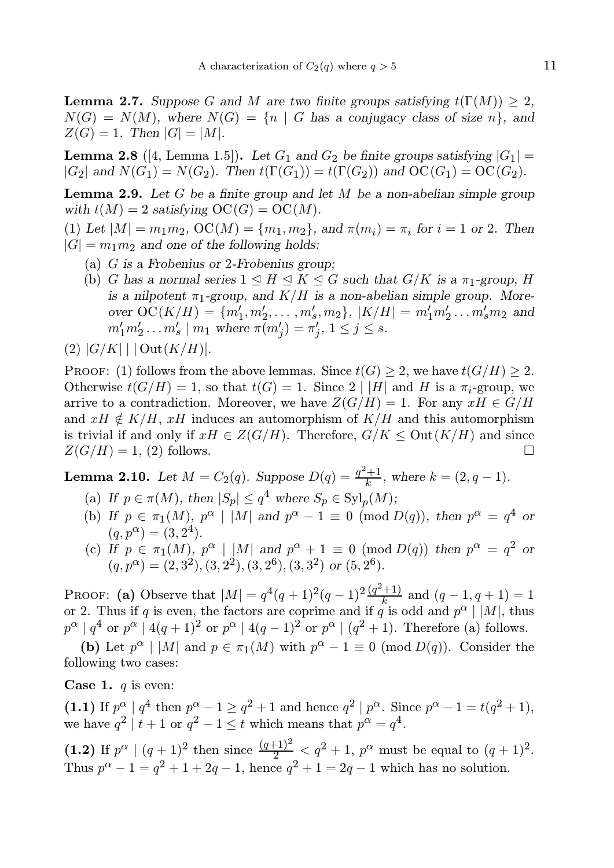**Lemma 2.7.** Suppose G and M are two finite groups satisfying  $t(\Gamma(M)) \geq 2$ .  $N(G) = N(M)$ , where  $N(G) = \{n \mid G$  has a conjugacy class of size n, and  $Z(G) = 1.$  Then  $|G| = |M|$ .

**Lemma 2.8** ([4, Lemma 1.5]). Let  $G_1$  and  $G_2$  be finite groups satisfying  $|G_1|$  =  $|G_2|$  and  $N(G_1) = N(G_2)$ . Then  $t(\Gamma(G_1)) = t(\Gamma(G_2))$  and  $OC(G_1) = OC(G_2)$ .

**Lemma 2.9.** Let G be a finite group and let M be a non-abelian simple group with  $t(M) = 2$  satisfying  $OC(G) = OC(M)$ .

(1) Let  $|M| = m_1 m_2$ ,  $OC(M) = \{m_1, m_2\}$ , and  $\pi(m_i) = \pi_i$  for  $i = 1$  or 2. Then  $|G| = m_1 m_2$  and one of the following holds:

- (a) G is a Frobenius or 2-Frobenius group;
- (b) G has a normal series  $1 \leq H \leq K \leq G$  such that  $G/K$  is a  $\pi_1$ -group, H is a nilpotent  $\pi_1$ -group, and  $K/H$  is a non-abelian simple group. Moreover  $OC(K/H) = \{m'_1, m'_2, \ldots, m'_s, m_2\}, |K/H| = m'_1 m'_2 \ldots m'_s m_2$  and  $m'_1 m'_2 \dots m'_s \mid m_1 \text{ where } \pi(m'_j) = \pi'_j, 1 \le j \le s.$
- $(2) |G/K| | \cdot |\text{Out}(K/H)|.$

PROOF: (1) follows from the above lemmas. Since  $t(G) \geq 2$ , we have  $t(G/H) \geq 2$ . Otherwise  $t(G/H) = 1$ , so that  $t(G) = 1$ . Since  $2 \mid |H|$  and H is a  $\pi_i$ -group, we arrive to a contradiction. Moreover, we have  $Z(G/H) = 1$ . For any  $xH \in G/H$ and  $xH \notin K/H$ ,  $xH$  induces an automorphism of  $K/H$  and this automorphism is trivial if and only if  $xH \in Z(G/H)$ . Therefore,  $G/K \leq \text{Out}(K/H)$  and since  $Z(G/H) = 1$  (2) follows  $Z(G/H) = 1$ , (2) follows.

**Lemma 2.10.** Let  $M = C_2(q)$ . Suppose  $D(q) = \frac{q^2+1}{k}$  $\frac{+1}{k}$ , where  $k = (2, q - 1)$ .

- (a) If  $p \in \pi(M)$ , then  $|S_p| \leq q^4$  where  $S_p \in \mathrm{Syl}_p(M)$ ;
- (b) If  $p \in \pi_1(M)$ ,  $p^{\alpha} \mid |M|$  and  $p^{\alpha}-1 \equiv 0 \pmod{D(q)}$ , then  $p^{\alpha} = q^4$  or  $(q, p^{\alpha}) = (3, 2^4).$
- (c) If  $p \in \pi_1(M)$ ,  $p^{\alpha} \mid |M|$  and  $p^{\alpha} + 1 \equiv 0 \pmod{D(q)}$  then  $p^{\alpha} = q^2$  or  $(q, p^{\alpha}) = (2, 3^2), (3, 2^2), (3, 2^6), (3, 3^2)$  or  $(5, 2^6)$ .

PROOF: (a) Observe that  $|M| = q^4(q+1)^2(q-1)^2\frac{(q^2+1)}{k}$  $\frac{+1}{k}$  and  $(q-1, q+1) = 1$ or 2. Thus if q is even, the factors are coprime and if q is odd and  $p^{\alpha} \mid |M|$ , thus  $p^{\alpha} | q^4$  or  $p^{\alpha} | 4(q+1)^2$  or  $p^{\alpha} | 4(q-1)^2$  or  $p^{\alpha} | (q^2+1)$ . Therefore (a) follows.

(b) Let  $p^{\alpha} \mid |M|$  and  $p \in \pi_1(M)$  with  $p^{\alpha}-1 \equiv 0 \pmod{D(q)}$ . Consider the following two cases:

**Case 1.**  $q$  is even:

(1.1) If  $p^{\alpha} \mid q^4$  then  $p^{\alpha} - 1 \geq q^2 + 1$  and hence  $q^2 \mid p^{\alpha}$ . Since  $p^{\alpha} - 1 = t(q^2 + 1)$ , we have  $q^2 \mid t+1$  or  $q^2-1 \leq t$  which means that  $p^{\alpha} = q^4$ .

(1.2) If  $p^{\alpha} \mid (q+1)^2$  then since  $\frac{(q+1)^2}{2} < q^2 + 1$ ,  $p^{\alpha}$  must be equal to  $(q+1)^2$ . Thus  $p^{\alpha} - 1 = q^2 + 1 + 2q - 1$ , hence  $q^2 + 1 = 2q - 1$  which has no solution.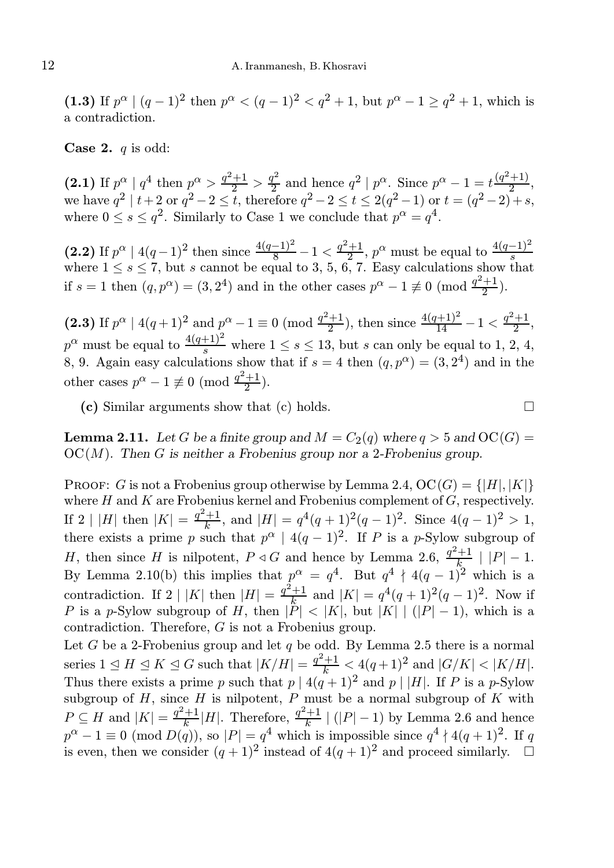(1.3) If  $p^{\alpha} | (q-1)^2$  then  $p^{\alpha} < (q-1)^2 < q^2 + 1$ , but  $p^{\alpha} - 1 \ge q^2 + 1$ , which is a contradiction.

**Case 2.**  $q$  is odd:

(2.1) If  $p^{\alpha} | q^4$  then  $p^{\alpha} > \frac{q^2+1}{2} > \frac{q^2}{2}$  $q^2$  and hence  $q^2 | p^{\alpha}$ . Since  $p^{\alpha} - 1 = t \frac{(q^2+1)}{2}$  $\frac{+1}{2}$ , we have  $q^2 \mid t+2$  or  $q^2-2 \le t$ , therefore  $q^2-2 \le t \le 2(q^2-1)$  or  $t = (q^2-2)+s$ , where  $0 \le s \le q^2$ . Similarly to Case 1 we conclude that  $p^{\alpha} = q^4$ .

(2.2) If  $p^{\alpha} \mid 4(q-1)^2$  then since  $\frac{4(q-1)^2}{8} - 1 < \frac{q^2+1}{2}$ (2.2) If  $p^{\alpha} \mid 4(q-1)^2$  then since  $\frac{4(q-1)^2}{8} - 1 < \frac{q^2+1}{2}$ ,  $p^{\alpha}$  must be equal to  $\frac{4(q-1)^2}{s}$  where  $1 \leq s \leq 7$ , but s cannot be equal to 3, 5, 6, 7. Easy calculations show that if  $s = 1$  then  $(q, p^{\alpha}) = (3, 2^4)$  and in the other cases  $p^{\alpha} - 1 \not\equiv 0 \pmod{\frac{q^2+1}{2}}$  $rac{+1}{2}$ ).

(2.3) If  $p^{\alpha} | 4(q+1)^2$  and  $p^{\alpha}-1 \equiv 0 \pmod{\frac{q^2+1}{2}}$  $\frac{4(q+1)^2}{14} - 1 < \frac{q^2+1}{2}$  $\frac{+1}{2}$ ,  $p^{\alpha}$  must be equal to  $\frac{4(q+1)^2}{s}$  where  $1 \leq s \leq 13$ , but s can only be equal to 1, 2, 4, 8, 9. Again easy calculations show that if  $s = 4$  then  $(q, p^{\alpha}) = (3, 2^4)$  and in the other cases  $p^{\alpha} - 1 \not\equiv 0 \pmod{\frac{q^2+1}{2}}$  $rac{+1}{2}$ ).

(c) Similar arguments show that (c) holds.  $\square$ 

**Lemma 2.11.** Let G be a finite group and  $M = C_2(q)$  where  $q > 5$  and  $OC(G)$  $OC(M)$ . Then G is neither a Frobenius group nor a 2-Frobenius group.

**PROOF:** G is not a Frobenius group otherwise by Lemma 2.4,  $OC(G) = \{ |H|, |K| \}$ where  $H$  and  $K$  are Frobenius kernel and Frobenius complement of  $G$ , respectively. If 2 | |H| then  $|K| = \frac{q^2+1}{k}$  $\frac{+1}{k}$ , and  $|H| = q^4(q+1)^2(q-1)^2$ . Since  $4(q-1)^2 > 1$ , there exists a prime p such that  $p^{\alpha} \mid 4(q-1)^2$ . If P is a p-Sylow subgroup of H, then since H is nilpotent,  $P \triangleleft G$  and hence by Lemma 2.6,  $\frac{q^2+1}{k}$  $\frac{+1}{k}$  |  $|P|$  – 1. By Lemma 2.10(b) this implies that  $p^{\alpha} = q^4$ . But  $q^4 \nmid 4(q-1)^2$  which is a contradiction. If 2 | |K| then  $|H| = \frac{q^2+1}{k}$  $\frac{+1}{k}$  and  $|K| = q^4(q+1)^2(q-1)^2$ . Now if P is a p-Sylow subgroup of H, then  $|P| < |K|$ , but  $|K| | (|P|-1)$ , which is a contradiction. Therefore, G is not a Frobenius group.

Let G be a 2-Frobenius group and let q be odd. By Lemma 2.5 there is a normal series  $1 \leq H \leq K \leq G$  such that  $|K/H| = \frac{q^2+1}{k} < 4(q+1)^2$  and  $|G/K| < |K/H|$ . Thus there exists a prime p such that  $p | 4(q+1)^2$  and  $p | |H|$ . If P is a p-Sylow subgroup of  $H$ , since  $H$  is nilpotent,  $P$  must be a normal subgroup of  $K$  with  $P \subseteq H$  and  $|K| = \frac{q^2+1}{k}$  $\frac{q^2+1}{k}$ |*H*|. Therefore,  $\frac{q^2+1}{k}$  $\frac{+1}{k}$  (|P| – 1) by Lemma 2.6 and hence  $p^{\alpha}-1\equiv 0\ ({\rm mod}\ D(q)),$  so  $|P|=q^4$  which is impossible since  $q^4\nmid 4(q+1)^2$ . If q is even, then we consider  $(q+1)^2$  instead of  $4(q+1)^2$  and proceed similarly.  $\Box$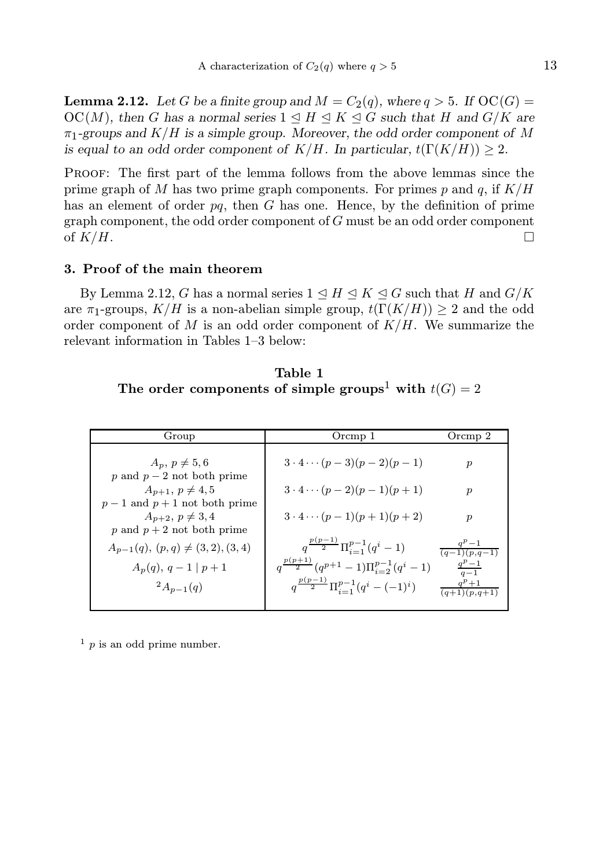**Lemma 2.12.** Let G be a finite group and  $M = C_2(q)$ , where  $q > 5$ . If  $OC(G)$  $OC(M)$ , then G has a normal series  $1 \leq H \leq K \leq G$  such that H and  $G/K$  are  $\pi_1$ -groups and  $K/H$  is a simple group. Moreover, the odd order component of M is equal to an odd order component of  $K/H$ . In particular,  $t(\Gamma(K/H)) \geq 2$ .

Proof: The first part of the lemma follows from the above lemmas since the prime graph of M has two prime graph components. For primes p and q, if  $K/H$ has an element of order  $pq$ , then  $G$  has one. Hence, by the definition of prime graph component, the odd order component of  $G$  must be an odd order component of  $K/H$ .

### 3. Proof of the main theorem

By Lemma 2.12, G has a normal series  $1 \leq H \leq K \leq G$  such that H and  $G/K$ are  $\pi_1$ -groups,  $K/H$  is a non-abelian simple group,  $t(\Gamma(K/H)) \geq 2$  and the odd order component of  $M$  is an odd order component of  $K/H$ . We summarize the relevant information in Tables 1–3 below:

Table 1 The order components of simple groups<sup>1</sup> with  $t(G) = 2$ 

| Group                                 | Orcmp 1                                                   | Orcmp 2                              |
|---------------------------------------|-----------------------------------------------------------|--------------------------------------|
|                                       |                                                           |                                      |
| $A_n, p \neq 5,6$                     | $3 \cdot 4 \cdots (p-3)(p-2)(p-1)$                        | $\boldsymbol{p}$                     |
| p and $p-2$ not both prime            |                                                           |                                      |
| $A_{n+1}, p \neq 4, 5$                | $3 \cdot 4 \cdots (p-2)(p-1)(p+1)$                        | $\boldsymbol{p}$                     |
| $p-1$ and $p+1$ not both prime        |                                                           |                                      |
| $A_{n+2}, p \neq 3, 4$                | $3 \cdot 4 \cdots (p-1)(p+1)(p+2)$                        | $\boldsymbol{p}$                     |
| p and $p + 2$ not both prime          |                                                           |                                      |
| $A_{n-1}(q), (p,q) \neq (3,2), (3,4)$ | $q^{\frac{p(p-1)}{2}}\Pi_{i=1}^{p-1}(q^i-1)$              | $q^p-1$<br>$\overline{(q-1)(p,q-1)}$ |
|                                       | $q^{\frac{p(p+1)}{2}}(q^{p+1}-1)\prod_{i=2}^{p-1}(q^i-1)$ |                                      |
| $A_p(q), q-1   p+1$                   |                                                           | $\frac{q^p-1}{q-1}$                  |
| $^{2}A_{n-1}(q)$                      | $q^{\frac{p(p-1)}{2}}\Pi_{i=1}^{p-1}(q^i-(-1)^i)$         | $q^p+1$<br>$(q+1)(p,q+1)$            |
|                                       |                                                           |                                      |

 $\frac{1}{p}$  is an odd prime number.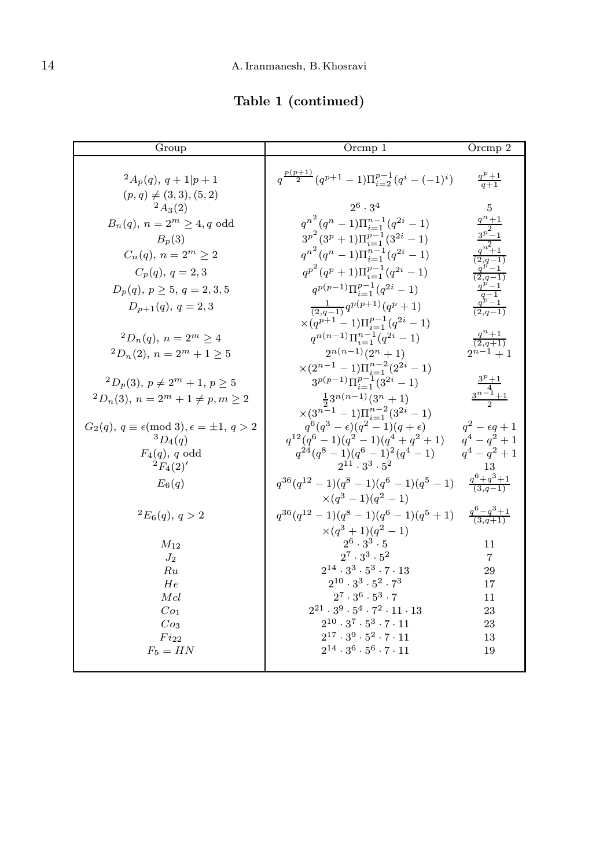Table 1 (continued)

| Group                                                         | Orcmp 1                                                                                    | Orcmp 2                                         |
|---------------------------------------------------------------|--------------------------------------------------------------------------------------------|-------------------------------------------------|
| $^{2}A_{p}(q), q+1 p+1$<br>$(p, q) \neq (3, 3), (5, 2)$       | $q^{\frac{p(p+1)}{2}}(q^{p+1}-1)\Pi_{i=2}^{p-1}(q^i-(-1)^i)$ $\frac{q^p+1}{q+1}$           |                                                 |
| $^{2}A_{3}(2)$                                                | $2^6 \cdot 3^4$                                                                            | 5                                               |
| $B_n(q)$ , $n = 2^m \ge 4$ , q odd                            | $q^{n^2}(q^n-1)\Pi_{i=1}^{n-1}(q^{2i}-1)$                                                  | $\frac{\frac{q^n+1}{p^2}}{\frac{3^p-1}{q^2+1}}$ |
| $B_p(3)$                                                      | $3^{p^2}(3^p+1)\Pi_{i=1}^{p-1}(3^{2i}-1)$                                                  |                                                 |
| $C_n(q), n = 2^m \ge 2$                                       | $q^{n^2}(q^n-1)\prod_{i=1}^{n-1}(q^{2i}-1)$                                                |                                                 |
| $C_p(q), q = 2, 3$                                            | $q^{p^2}(q^p+1)\Pi_{i=1}^{p-1}(q^{2i}-1)$                                                  | $\frac{q^p-1}{(2,q-1)}$                         |
| $D_p(q), p \ge 5, q = 2, 3, 5$                                | $q^{p(p-1)}\prod_{i=1}^{p-1}(q^{2i}-1)$                                                    |                                                 |
| $D_{p+1}(q), q = 2, 3$                                        | $\frac{1}{(2,q-1)}q^{p(p+1)}(q^p+1)$                                                       |                                                 |
|                                                               | $\times (q^{p+1}-1)\Pi_{i=1}^{p-1}(q^{2i}-1)$                                              |                                                 |
| ${}^2D_n(q), n = 2^m \geq 4$                                  | $q^{n(n-1)}\Pi_{i=1}^{n-1}(q^{2i}-1)$                                                      | $\frac{q^n+1}{(2,q+1)}$                         |
| ${}^2D_n(2)$ , $n = 2^m + 1 \ge 5$                            | $2^{n(n-1)}(2^n + 1)$                                                                      | $2^{n-1}+1$                                     |
|                                                               | $\times (2^{n-1}-1)\Pi_{i=1}^{n-2}(2^{2i}-1)$<br>$3^{p(p-1)} \Pi_{i=1}^{p-1} (3^{2i} - 1)$ |                                                 |
| ${}^2D_p(3), p \neq 2^m + 1, p \geq 5$                        |                                                                                            | $\frac{\frac{3^p+1}{4}}{\frac{3^{n-1}+1}{2}}$   |
| ${}^2D_n(3)$ , $n = 2^m + 1 \neq p, m \geq 2$                 | $\frac{1}{2}3^{n(n-1)}(3^n + 1)$<br>$\times (3^{n-1}-1)\Pi_{i=1}^{n-2}(3^{2i}-1)$          |                                                 |
| $G_2(q), q \equiv \epsilon \pmod{3}, \epsilon = \pm 1, q > 2$ | $q^{6}(q^{3}-\epsilon)(q^{2}-1)(q+\epsilon)$                                               | $q^2 - \epsilon q + 1$                          |
| ${}^3D_4(q)$                                                  | $q^{12}(q^6-1)(q^2-1)(q^4+q^2+1)$                                                          | $q^4 - q^2 + 1$                                 |
| $F_4(q)$ , q odd<br>${}^{2}F_{4}(2)'$                         | $q^{24}(q^8-1)(q^6-1)^2(q^4-1)$<br>$2^{11} \cdot 3^3 \cdot 5^2$                            | $q^4 - q^2 + 1$<br>13                           |
| $E_6(q)$                                                      | $q^{36}(q^{12}-1)(q^8-1)(q^6-1)(q^5-1)$                                                    | $\frac{q^6+q^3+1}{(3,q-1)}$                     |
|                                                               | $\times (q^3 - 1)(q^2 - 1)$                                                                |                                                 |
| ${}^2E_6(q), q > 2$                                           | $q^{36}(q^{12}-1)(q^8-1)(q^6-1)(q^5+1)$ $\frac{q^6-q^3+1}{(3,q+1)}$                        |                                                 |
|                                                               | $\times (q^3+1)(q^2-1)$                                                                    |                                                 |
| $M_{12}$                                                      | $2^6 \cdot 3^3 \cdot 5$<br>$2^7 \cdot 3^3 \cdot 5^2$                                       | 11                                              |
| $J_2$<br>Ru                                                   | $2^{14} \cdot 3^3 \cdot 5^3 \cdot 7 \cdot 13$                                              | $\overline{7}$<br>29                            |
| He                                                            | $2^{10} \cdot 3^3 \cdot 5^2 \cdot 7^3$                                                     | 17                                              |
| Mcl                                                           | $2^7 \cdot 3^6 \cdot 5^3 \cdot 7$                                                          | 11                                              |
| Co <sub>1</sub>                                               | $2^{21} \cdot 3^9 \cdot 5^4 \cdot 7^2 \cdot 11 \cdot 13$                                   | 23                                              |
| Co <sub>3</sub>                                               | $2^{10} \cdot 3^7 \cdot 5^3 \cdot 7 \cdot 11$                                              | 23                                              |
| $Fi_{22}$                                                     | $2^{17} \cdot 3^9 \cdot 5^2 \cdot 7 \cdot 11$                                              | 13                                              |
| $F_5 = HN$                                                    | $2^{14} \cdot 3^6 \cdot 5^6 \cdot 7 \cdot 11$                                              | 19                                              |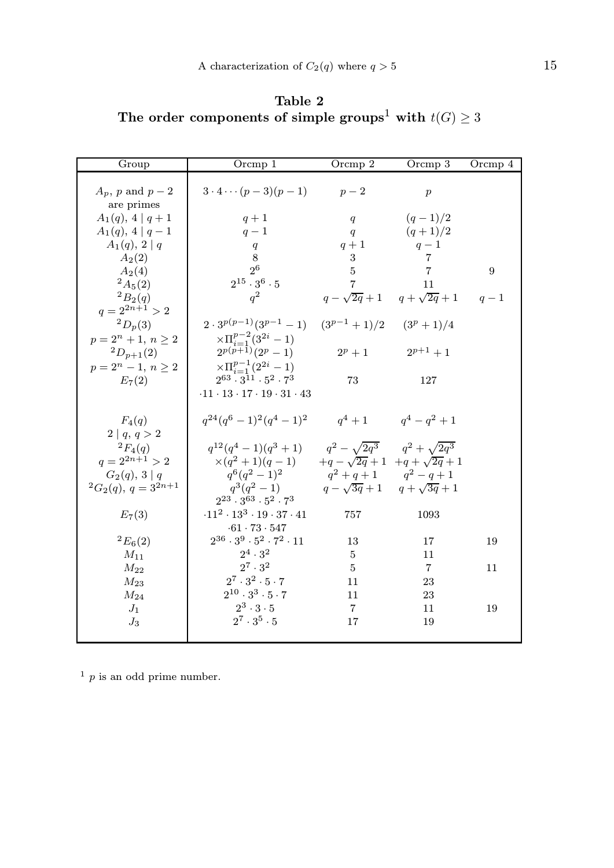Table 2 The order components of simple groups<sup>1</sup> with  $t(G) \geq 3$ 

| Group                                      | Orcmp 1                                                                                                     | Orcmp $2$                               | Orcmp 3                                 | Orcmp 4 |
|--------------------------------------------|-------------------------------------------------------------------------------------------------------------|-----------------------------------------|-----------------------------------------|---------|
| $A_p$ , p and $p-2$<br>are primes          | $3 \cdot 4 \cdots (p-3)(p-1)$                                                                               | $p-2$                                   | $\boldsymbol{p}$                        |         |
| $A_1(q), 4 q+1$                            | $q+1$                                                                                                       | q                                       | $(q-1)/2$                               |         |
| $A_1(q), 4 q-1$                            | $q-1$                                                                                                       | q                                       | $(q+1)/2$                               |         |
| $A_1(q), 2   q$                            | q                                                                                                           | $q+1$                                   | $q-1$                                   |         |
| $A_2(2)$                                   | 8                                                                                                           | 3                                       | $\overline{7}$                          |         |
| $A_2(4)$                                   | 2 <sup>6</sup>                                                                                              | $\overline{5}$                          | $\overline{7}$                          | 9       |
| $^{2}A_{5}(2)$                             | $2^{15} \cdot 3^6 \cdot 5$                                                                                  | $\overline{7}$                          | 11                                      |         |
| ${}^2B_2(q)$<br>$q = 2^{2n+1} > 2$         | $q^2$                                                                                                       |                                         | $q - \sqrt{2q} + 1$ $q + \sqrt{2q} + 1$ | $q-1$   |
| $^{2}D_{p}(3)$                             | $2 \cdot 3^{p(p-1)}(3^{p-1}-1)$ $(3^{p-1}+1)/2$ $(3^p+1)/4$                                                 |                                         |                                         |         |
| $p = 2^n + 1, n \ge 2$<br>$^{2}D_{p+1}(2)$ | $\times \Pi_{i=1}^{p-2} (3^{2i} - 1)$<br>$2^{p(p+1)}(2^p-1)$                                                |                                         | $2^p + 1$ $2^{p+1} + 1$                 |         |
| $p = 2^n - 1, n \ge 2$<br>$E_7(2)$         | $\times \Pi_{i=1}^{p-1}(2^{2i}-1)$<br>$2^{63}$ , $3^{11}$ , $5^2$ , $7^3$<br>$-11 - 13 - 17 - 19 - 31 - 43$ | 73                                      | 127                                     |         |
|                                            |                                                                                                             |                                         |                                         |         |
| $F_4(q)$<br>2   q, q > 2                   | $q^{24}(q^6-1)^2(q^4-1)^2$ $q^4+1$ $q^4-q^2+1$                                                              |                                         |                                         |         |
| ${}^{2}F_{4}(q)$                           | $q^{12}(q^4-1)(q^3+1)$ $q^2-\sqrt{2q^3}$ $q^2+\sqrt{2q^3}$                                                  |                                         |                                         |         |
| $a = 2^{2n+1} > 2$                         | $\times (q^2+1)(q-1)$ $+q-\sqrt{2q}+1$ $+q+\sqrt{2q}+1$                                                     |                                         |                                         |         |
| $G_2(q), 3   q$                            | $q^6(q^2-1)^2$ $q^2+q+1$ $q^2-q+1$                                                                          |                                         |                                         |         |
| ${}^2G_2(q), q = 3^{2n+1}$                 | $q^3(q^2-1)$<br>2 <sup>23</sup> · 3 <sup>63</sup> · 5 <sup>2</sup> · 7 <sup>3</sup>                         | $q - \sqrt{3q + 1}$ $q + \sqrt{3q + 1}$ |                                         |         |
| $E_7(3)$                                   | $-11^2$ $-13^3$ $-19$ $-37$ $-41$                                                                           | 757                                     | 1093                                    |         |
| ${}^2E_6(2)$                               | $-61 - 73 - 547$<br>$2^{36} \cdot 3^9 \cdot 5^2 \cdot 7^2 \cdot 11$                                         | 13                                      | 17                                      | 19      |
| $M_{11}$                                   | $2^4 \cdot 3^2$                                                                                             | 5                                       | 11                                      |         |
| $M_{22}$                                   | $2^7 \cdot 3^2$                                                                                             | 5                                       | $\overline{7}$                          | 11      |
| $M_{23}$                                   | $2^7 \cdot 3^2 \cdot 5 \cdot 7$                                                                             | 11                                      | 23                                      |         |
| $M_{24}$                                   | $2^{10} \cdot 3^3 \cdot 5 \cdot 7$                                                                          | 11                                      | 23                                      |         |
| $J_1$                                      | $2^3 \cdot 3 \cdot 5$                                                                                       | $\overline{7}$                          | 11                                      | 19      |
| $J_3$                                      | $2^7 \cdot 3^5 \cdot 5$                                                                                     | 17                                      | 19                                      |         |

 $^{\rm 1}$   $p$  is an odd prime number.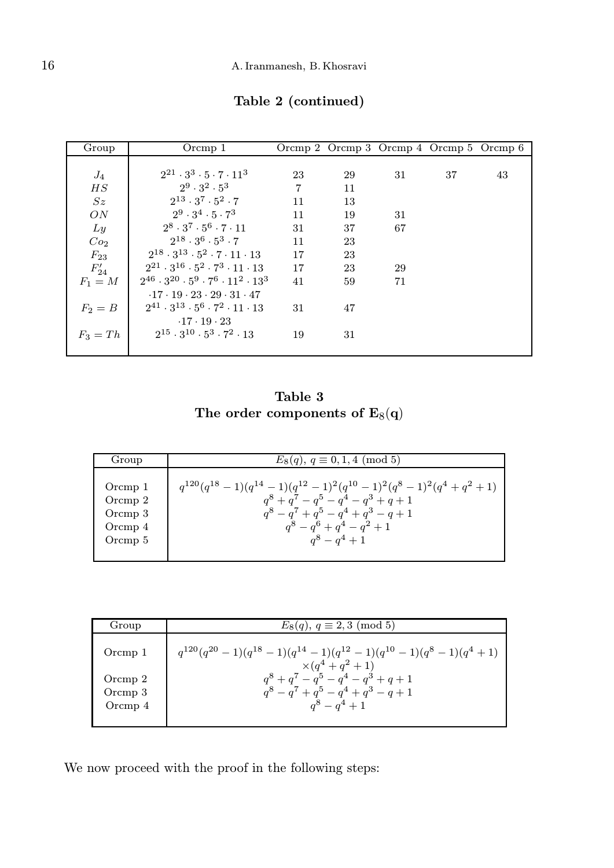| Group           | Orcmp 1                                                         |                |    | Orcmp 2 Orcmp 3 Orcmp 4 Orcmp 5 Orcmp 6 |    |    |
|-----------------|-----------------------------------------------------------------|----------------|----|-----------------------------------------|----|----|
|                 |                                                                 |                |    |                                         |    |    |
| $J_4$           | $2^{21} \cdot 3^3 \cdot 5 \cdot 7 \cdot 11^3$                   | 23             | 29 | 31                                      | 37 | 43 |
| $_{HS}$         | $2^9 \cdot 3^2 \cdot 5^3$                                       | $\overline{7}$ | 11 |                                         |    |    |
| Sz              | $2^{13} \cdot 3^7 \cdot 5^2 \cdot 7$                            | 11             | 13 |                                         |    |    |
| ON              | $2^9 \cdot 3^4 \cdot 5 \cdot 7^3$                               | 11             | 19 | 31                                      |    |    |
| Ly              | $2^8 \cdot 3^7 \cdot 5^6 \cdot 7 \cdot 11$                      | 31             | 37 | 67                                      |    |    |
| Co <sub>2</sub> | $2^{18} \cdot 3^6 \cdot 5^3 \cdot 7$                            | 11             | 23 |                                         |    |    |
| $F_{23}$        | $2^{18} \cdot 3^{13} \cdot 5^2 \cdot 7 \cdot 11 \cdot 13$       | 17             | 23 |                                         |    |    |
| $F'_{24}$       | $2^{21} \cdot 3^{16} \cdot 5^2 \cdot 7^3 \cdot 11 \cdot 13$     | 17             | 23 | 29                                      |    |    |
| $F_1 = M$       | $2^{46} \cdot 3^{20} \cdot 5^9 \cdot 7^6 \cdot 11^2 \cdot 13^3$ | 41             | 59 | 71                                      |    |    |
|                 | $-17 \cdot 19 \cdot 23 \cdot 29 \cdot 31 \cdot 47$              |                |    |                                         |    |    |
| $F_2=B$         | $2^{41} \cdot 3^{13} \cdot 5^6 \cdot 7^2 \cdot 11 \cdot 13$     | 31             | 47 |                                         |    |    |
|                 | $-17 - 19 - 23$                                                 |                |    |                                         |    |    |
| $F_3 = Th$      | $2^{15} \cdot 3^{10} \cdot 5^3 \cdot 7^2 \cdot 13$              | 19             | 31 |                                         |    |    |
|                 |                                                                 |                |    |                                         |    |    |

Table 2 (continued)

Table 3 The order components of  $\text{E}_8(\text{q})$ 

| Group   | $E_8(q)$ , $q \equiv 0, 1, 4 \pmod{5}$                                    |
|---------|---------------------------------------------------------------------------|
| Orcmp 1 | $q^{120}(q^{18}-1)(q^{14}-1)(q^{12}-1)^2(q^{10}-1)^2(q^8-1)^2(q^4+q^2+1)$ |
| Orcmp 2 | $a^{8} + a^{7} - a^{5} - a^{4} - a^{3} + a + 1$                           |
| Orcmp 3 | $q^8 - q^7 + q^5 - q^4 + q^3 - q + 1$                                     |
| Orcmp 4 | $q^8 - q^6 + q^4 - q^2 + 1$                                               |
| Orcmp 5 | $a^8 - a^4 + 1$                                                           |

| Group                             | $E_8(q)$ , $q \equiv 2,3 \pmod{5}$                                                                          |
|-----------------------------------|-------------------------------------------------------------------------------------------------------------|
| Orcmp 1                           | $q^{120}(q^{20}-1)(q^{18}-1)(q^{14}-1)(q^{12}-1)(q^{10}-1)(q^{8}-1)(q^{4}+1)$<br>$\times (a^4 + a^2 + 1)$   |
| Orcmp $2$<br>Orcmp 3<br>Orcmp $4$ | $a^{8} + a^{7} - a^{5} - a^{4} - a^{3} + a + 1$<br>$a^8 - a^7 + a^5 - a^4 + a^3 - a + 1$<br>$a^8 - a^4 + 1$ |

We now proceed with the proof in the following steps: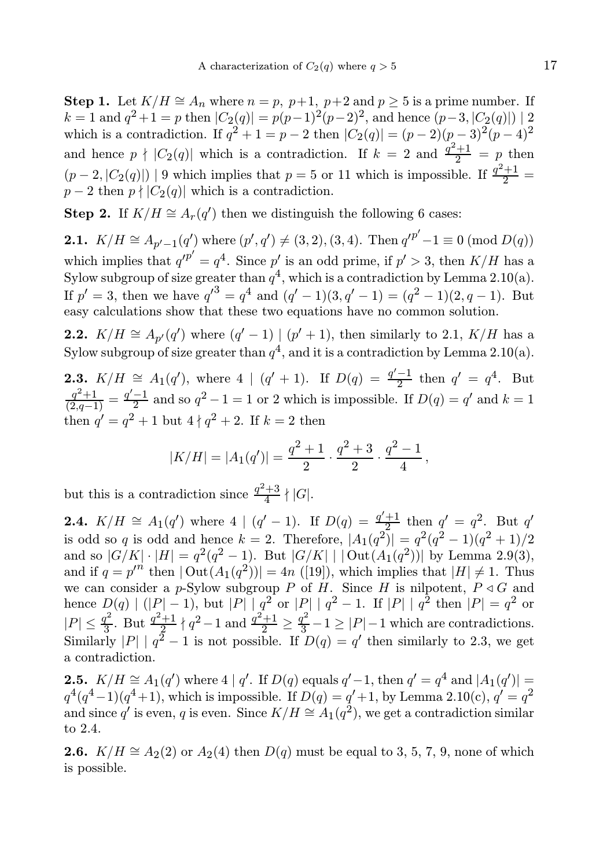Step 1. Let  $K/H \cong A_n$  where  $n = p$ ,  $p+1$ ,  $p+2$  and  $p > 5$  is a prime number. If  $k = 1$  and  $q^2 + 1 = p$  then  $|C_2(q)| = p(p-1)^2(p-2)^2$ , and hence  $(p-3, |C_2(q)|) | 2$ which is a contradiction. If  $q^2 + 1 = p - 2$  then  $|C_2(q)| = (p - 2)(p - 3)^2(p - 4)^2$ and hence  $p \nmid |C_2(q)|$  which is a contradiction. If  $k = 2$  and  $\frac{q^2+1}{2} = p$  then  $(p-2, |C_2(q)|)$  | 9 which implies that  $p=5$  or 11 which is impossible. If  $\frac{q^2+1}{2}$  =  $p-2$  then  $p \nmid |C_2(q)|$  which is a contradiction.

**Step 2.** If  $K/H \cong A_r(q')$  then we distinguish the following 6 cases:

**2.1.**  $K/H \cong A_{p'-1}(q')$  where  $(p', q') \neq (3, 2), (3, 4)$ . Then  $q'^{p'}-1 \equiv 0 \pmod{D(q)}$ which implies that  $q'^{p'} = q^4$ . Since p' is an odd prime, if  $p' > 3$ , then  $K/H$  has a Sylow subgroup of size greater than  $q^4$ , which is a contradiction by Lemma 2.10(a). If  $p' = 3$ , then we have  $q'^3 = q^4$  and  $(q' - 1)(3, q' - 1) = (q^2 - 1)(2, q - 1)$ . But easy calculations show that these two equations have no common solution.

**2.2.**  $K/H \cong A_{p'}(q')$  where  $(q'-1) | (p'+1)$ , then similarly to 2.1,  $K/H$  has a Sylow subgroup of size greater than  $q^4$ , and it is a contradiction by Lemma 2.10(a).

**2.3.**  $K/H \cong A_1(q')$ , where  $4 \mid (q' + 1)$ . If  $D(q) = \frac{q'-1}{2}$  then  $q' = q^4$ . But  $\frac{q^2+1}{(2,q-1)} = \frac{q'-1}{2}$  and so  $q^2-1=1$  or 2 which is impossible. If  $D(q) = q'$  and  $k = 1$ then  $q' = q^2 + 1$  but  $4 \nmid q^2 + 2$ . If  $k = 2$  then

$$
|K/H| = |A_1(q')| = \frac{q^2+1}{2} \cdot \frac{q^2+3}{2} \cdot \frac{q^2-1}{4},
$$

but this is a contradiction since  $\frac{q^2+3}{4}$  $rac{+5}{4} \nmid |G|$ .

**2.4.**  $K/H \cong A_1(q')$  where  $4 | (q'-1)$ . If  $D(q) = \frac{q'+1}{q^2}$  $\frac{+1}{2}$  then  $q' = q^2$ . But q' is odd so q is odd and hence  $k = 2$ . Therefore,  $|A_1(q^2)| = q^2(q^2 - 1)(q^2 + 1)/2$ and so  $|G/K| \cdot |H| = q^2(q^2 - 1)$ . But  $|G/K| |Out(A_1(q^2))|$  by Lemma 2.9(3), and if  $q = p^m$  then  $|\text{Out}(A_1(q^2))| = 4n$  ([19]), which implies that  $|H| \neq 1$ . Thus we can consider a p-Sylow subgroup P of H. Since H is nilpotent,  $P \triangleleft G$  and hence  $D(q) | (|P| - 1)$ , but  $|P| | q^2$  or  $|P| | q^2 - 1$ . If  $|P| | q^2$  then  $|P| = q^2$  or  $|P| \leq \frac{q^2}{3}$  $\frac{q^2}{3}$ . But  $\frac{q^2+1}{2}$  $\frac{q^2+1}{2} \nmid q^2-1$  and  $\frac{q^2+1}{2} \ge \frac{q^2}{3}-1 \ge |P|-1$  which are contradictions. Similarly  $|P| | q^2 - 1$  is not possible. If  $D(q) = q'$  then similarly to 2.3, we get a contradiction.

**2.5.**  $K/H \cong A_1(q')$  where 4 | q'. If  $D(q)$  equals  $q'-1$ , then  $q' = q^4$  and  $|A_1(q')| =$  $q^4(q^4-1)(q^4+1)$ , which is impossible. If  $D(q) = q' + 1$ , by Lemma 2.10(c),  $q' = q^2$ and since  $q'$  is even, q is even. Since  $K/H \cong A_1(q^2)$ , we get a contradiction similar to 2.4.

**2.6.** K/H  $\cong$  A<sub>2</sub>(2) or A<sub>2</sub>(4) then D(q) must be equal to 3, 5, 7, 9, none of which is possible.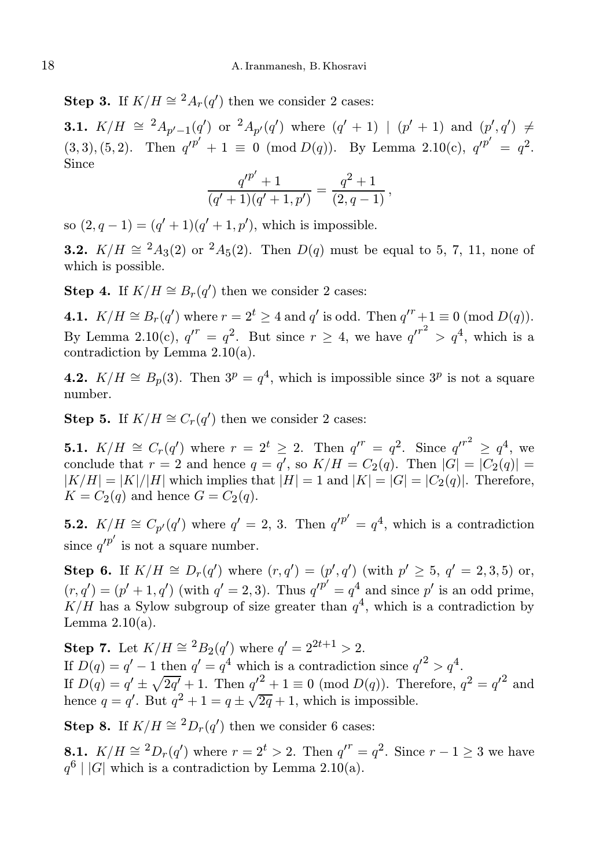Step 3. If  $K/H \cong {}^{2}A_{r}(q')$  then we consider 2 cases:

**3.1.**  $K/H \cong {}^{2}A_{p'-1}(q')$  or  ${}^{2}A_{p'}(q')$  where  $(q'+1)$  |  $(p'+1)$  and  $(p',q') \neq$ (3, 3), (5, 2). Then  $q'^{p'} + 1 \equiv 0 \pmod{D(q)}$ . By Lemma 2.10(c),  $q'^{p'} = q^2$ . Since ′

$$
\frac{q'^{p'}+1}{(q'+1)(q'+1,p')} = \frac{q^2+1}{(2,q-1)},
$$

so  $(2, q - 1) = (q' + 1)(q' + 1, p')$ , which is impossible.

**3.2.**  $K/H \cong {}^2A_3(2)$  or  ${}^2A_5(2)$ . Then  $D(q)$  must be equal to 5, 7, 11, none of which is possible.

**Step 4.** If  $K/H \cong B_r(q')$  then we consider 2 cases:

**4.1.**  $K/H \cong B_r(q')$  where  $r = 2^t \ge 4$  and  $q'$  is odd. Then  $q'^r + 1 \equiv 0 \pmod{D(q)}$ . By Lemma 2.10(c),  $q^{r} = q^2$ . But since  $r \geq 4$ , we have  $q^{r^2} > q^4$ , which is a contradiction by Lemma 2.10(a).

**4.2.**  $K/H \cong B_p(3)$ . Then  $3^p = q^4$ , which is impossible since  $3^p$  is not a square number.

**Step 5.** If  $K/H \cong C_r(q')$  then we consider 2 cases:

**5.1.**  $K/H \cong C_r(q')$  where  $r = 2^t \geq 2$ . Then  $q'^r = q^2$ . Since  $q'^{r^2} \geq q^4$ , we conclude that  $r = 2$  and hence  $q = q'$ , so  $K/H = C_2(q)$ . Then  $|G| = |C_2(q)| =$  $|K/H| = |K|/|H|$  which implies that  $|H| = 1$  and  $|K| = |G| = |C_2(q)|$ . Therefore,  $K = C_2(q)$  and hence  $G = C_2(q)$ .

**5.2.**  $K/H \cong C_{p'}(q')$  where  $q' = 2, 3$ . Then  $q'^{p'} = q^4$ , which is a contradiction since  $q'^{p'}$  is not a square number.

**Step 6.** If  $K/H \cong D_r(q')$  where  $(r, q') = (p', q')$  (with  $p' \geq 5$ ,  $q' = 2, 3, 5$ ) or,  $(r, q') = (p' + 1, q')$  (with  $q' = 2, 3$ ). Thus  $q'^{p'} = q^4$  and since p' is an odd prime,  $K/H$  has a Sylow subgroup of size greater than  $q<sup>4</sup>$ , which is a contradiction by Lemma  $2.10(a)$ .

**Step 7.** Let  $K/H \cong {}^{2}B_{2}(q')$  where  $q' = 2^{2t+1} > 2$ . If  $D(q) = q' - 1$  then  $q' = q^4$  which is a contradiction since  $q'^2 > q^4$ . If  $D(q) = q' \pm \sqrt{2q'} + 1$ . Then  $q'^{2} + 1 \equiv 0 \pmod{D(q)}$ . Therefore,  $q^{2} = q'^{2}$  and hence  $q = q'$ . But  $q^2 + 1 = q \pm \sqrt{2q} + 1$ , which is impossible.

**Step 8.** If  $K/H \cong {}^{2}D_{r}(q')$  then we consider 6 cases:

**8.1.**  $K/H \cong {}^2D_r(q')$  where  $r = 2^t > 2$ . Then  $q'' = q^2$ . Since  $r - 1 \ge 3$  we have  $q^6$  | |G| which is a contradiction by Lemma 2.10(a).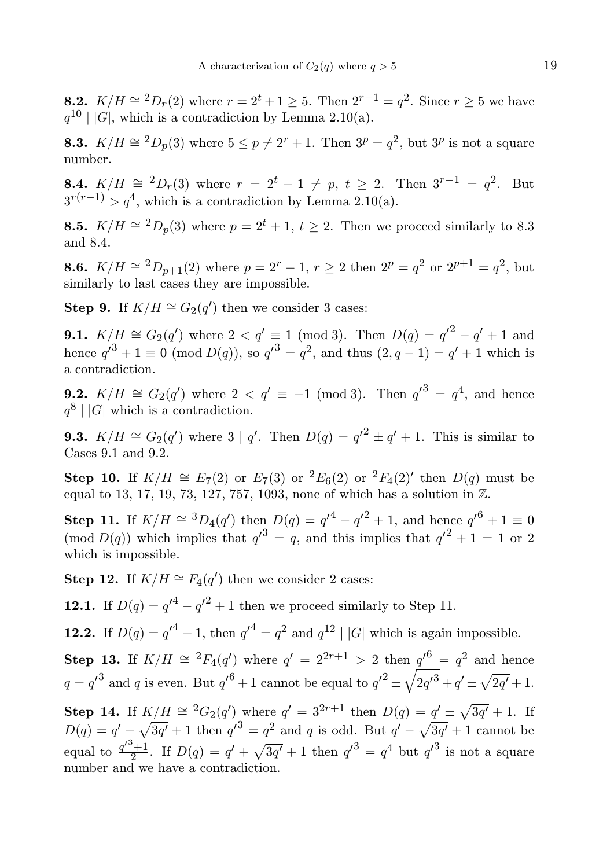**8.2.**  $K/H \cong {}^{2}D_{r}(2)$  where  $r = 2^{t} + 1 \ge 5$ . Then  $2^{r-1} = q^{2}$ . Since  $r \ge 5$  we have  $q^{10}$  |  $|G|$ , which is a contradiction by Lemma 2.10(a).

**8.3.**  $K/H \cong {}^2D_p(3)$  where  $5 \le p \ne 2^r + 1$ . Then  $3^p = q^2$ , but  $3^p$  is not a square number.

**8.4.**  $K/H \cong {}^{2}D_{r}(3)$  where  $r = 2^{t} + 1 \neq p$ ,  $t \geq 2$ . Then  $3^{r-1} = q^{2}$ . But  $3^{r(r-1)} > q^4$ , which is a contradiction by Lemma 2.10(a).

**8.5.**  $K/H \cong {}^2D_p(3)$  where  $p = 2^t + 1$ ,  $t \ge 2$ . Then we proceed similarly to 8.3 and 8.4.

**8.6.**  $K/H \cong {}^{2}D_{p+1}(2)$  where  $p = 2^{r} - 1$ ,  $r \ge 2$  then  $2^{p} = q^{2}$  or  $2^{p+1} = q^{2}$ , but similarly to last cases they are impossible.

**Step 9.** If  $K/H \cong G_2(q')$  then we consider 3 cases:

**9.1.**  $K/H \cong G_2(q')$  where  $2 < q' \equiv 1 \pmod{3}$ . Then  $D(q) = {q'}^2 - q' + 1$  and hence  $q'^3 + 1 \equiv 0 \pmod{D(q)}$ , so  $q'^3 = q^2$ , and thus  $(2, q - 1) = q' + 1$  which is a contradiction.

**9.2.**  $K/H \cong G_2(q')$  where  $2 < q' \equiv -1 \pmod{3}$ . Then  $q'^3 = q^4$ , and hence  $q^8$  | |G| which is a contradiction.

**9.3.**  $K/H \cong G_2(q')$  where  $3 \mid q'$ . Then  $D(q) = {q'}^2 \pm q' + 1$ . This is similar to Cases 9.1 and 9.2.

**Step 10.** If  $K/H \cong E_7(2)$  or  $E_7(3)$  or  ${}^2E_6(2)$  or  ${}^2F_4(2)'$  then  $D(q)$  must be equal to 13, 17, 19, 73, 127, 757, 1093, none of which has a solution in Z.

**Step 11.** If  $K/H \cong {}^{3}D_{4}(q')$  then  $D(q) = {q'}^{4} - {q'}^{2} + 1$ , and hence  ${q'}^{6} + 1 \equiv 0$ (mod  $D(q)$ ) which implies that  $q'^3 = q$ , and this implies that  $q'^2 + 1 = 1$  or 2 which is impossible.

**Step 12.** If  $K/H \cong F_4(q')$  then we consider 2 cases:

**12.1.** If  $D(q) = q'^4 - q'^2 + 1$  then we proceed similarly to Step 11.

**12.2.** If  $D(q) = q'^4 + 1$ , then  $q'^4 = q^2$  and  $q^{12} | |G|$  which is again impossible.

Step 13. If  $K/H \cong {}^{2}F_{4}(q')$  where  $q' = 2^{2r+1} > 2$  then  $q'^{6} = q^{2}$  and hence  $q = q'^3$  and q is even. But  $q'^6 + 1$  cannot be equal to  $q'^2 \pm \sqrt{2q'^3} + q' \pm \sqrt{2q'} + 1$ .

**Step 14.** If  $K/H \cong {}^2G_2(q')$  where  $q' = 3^{2r+1}$  then  $D(q) = \underline{q'} \pm \sqrt{3q'} + 1$ . If  $D(q) = q' - \sqrt{3q'} + 1$  then  $q'^3 = q^2$  and q is odd. But  $q' - \sqrt{3q'} + 1$  cannot be equal to  $\frac{q^3+1}{2}$  $\frac{q^3+1}{2}$ . If  $D(q) = q' + \sqrt{3q'} + 1$  then  $q'^3 = q^4$  but  $q'^3$  is not a square number and we have a contradiction.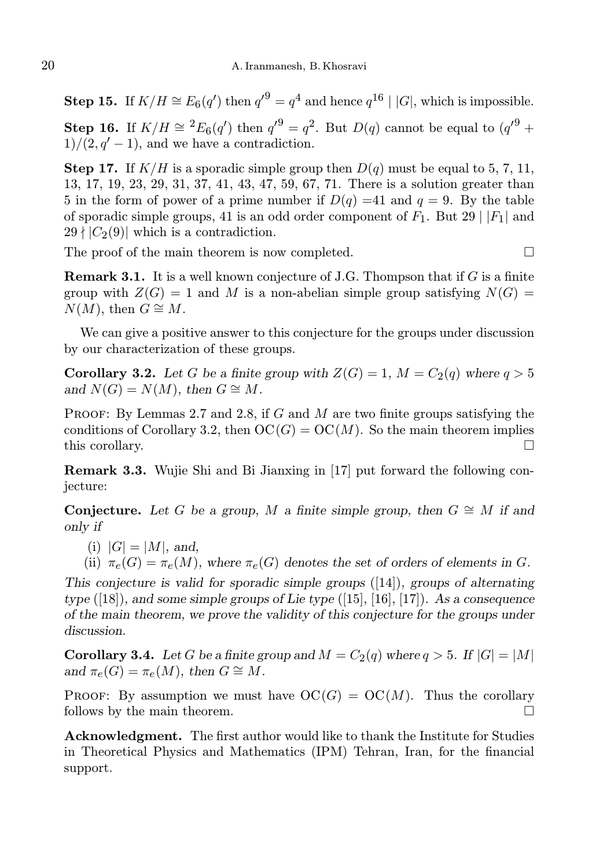**Step 15.** If  $K/H \cong E_6(q')$  then  $q'^9 = q^4$  and hence  $q^{16} \mid |G|$ , which is impossible. Step 16. If  $K/H \cong {}^{2}E_{6}(q')$  then  $q'^{9}=q^{2}$ . But  $D(q)$  cannot be equal to  $(q'^{9} +$  $1)/(2, q' - 1)$ , and we have a contradiction.

**Step 17.** If  $K/H$  is a sporadic simple group then  $D(q)$  must be equal to 5, 7, 11, 13, 17, 19, 23, 29, 31, 37, 41, 43, 47, 59, 67, 71. There is a solution greater than 5 in the form of power of a prime number if  $D(q) = 41$  and  $q = 9$ . By the table of sporadic simple groups, 41 is an odd order component of  $F_1$ . But 29 |  $|F_1|$  and  $29 \nmid |C_2(9)|$  which is a contradiction.

The proof of the main theorem is now completed.  $\Box$ 

**Remark 3.1.** It is a well known conjecture of J.G. Thompson that if  $G$  is a finite group with  $Z(G) = 1$  and M is a non-abelian simple group satisfying  $N(G) =$  $N(M)$ , then  $G \cong M$ .

We can give a positive answer to this conjecture for the groups under discussion by our characterization of these groups.

**Corollary 3.2.** Let G be a finite group with  $Z(G) = 1$ ,  $M = C_2(q)$  where  $q > 5$ and  $N(G) = N(M)$ , then  $G \cong M$ .

PROOF: By Lemmas 2.7 and 2.8, if  $G$  and  $M$  are two finite groups satisfying the conditions of Corollary 3.2, then  $OC(G) = OC(M)$ . So the main theorem implies this corollary.  $\Box$ 

Remark 3.3. Wujie Shi and Bi Jianxing in [17] put forward the following conjecture:

Conjecture. Let G be a group, M a finite simple group, then  $G \cong M$  if and only if

(i)  $|G| = |M|$ , and,

(ii)  $\pi_e(G) = \pi_e(M)$ , where  $\pi_e(G)$  denotes the set of orders of elements in G.

This conjecture is valid for sporadic simple groups  $([14])$ , groups of alternating type  $([18])$ , and some simple groups of Lie type  $([15], [16], [17])$ . As a consequence of the main theorem, we prove the validity of this conjecture for the groups under discussion.

**Corollary 3.4.** Let G be a finite group and  $M = C_2(q)$  where  $q > 5$ . If  $|G| = |M|$ and  $\pi_e(G) = \pi_e(M)$ , then  $G \cong M$ .

PROOF: By assumption we must have  $OC(G) = OC(M)$ . Thus the corollary follows by the main theorem.

Acknowledgment. The first author would like to thank the Institute for Studies in Theoretical Physics and Mathematics (IPM) Tehran, Iran, for the financial support.